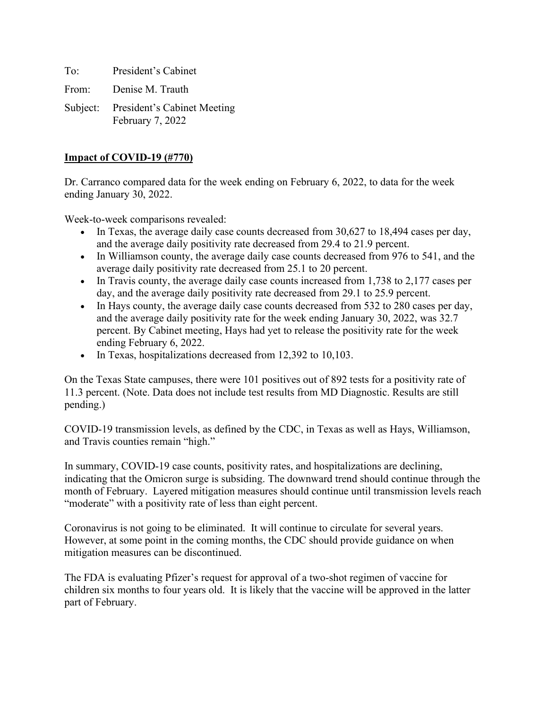To: President's Cabinet

From: Denise M. Trauth

Subject: President's Cabinet Meeting February 7, 2022

## **Impact of COVID-19 (#770)**

Dr. Carranco compared data for the week ending on February 6, 2022, to data for the week ending January 30, 2022.

Week-to-week comparisons revealed:

- In Texas, the average daily case counts decreased from 30,627 to 18,494 cases per day, and the average daily positivity rate decreased from 29.4 to 21.9 percent.
- In Williamson county, the average daily case counts decreased from 976 to 541, and the average daily positivity rate decreased from 25.1 to 20 percent.
- In Travis county, the average daily case counts increased from 1,738 to 2,177 cases per day, and the average daily positivity rate decreased from 29.1 to 25.9 percent.
- In Hays county, the average daily case counts decreased from 532 to 280 cases per day, and the average daily positivity rate for the week ending January 30, 2022, was 32.7 percent. By Cabinet meeting, Hays had yet to release the positivity rate for the week ending February 6, 2022.
- In Texas, hospitalizations decreased from 12,392 to 10,103.

On the Texas State campuses, there were 101 positives out of 892 tests for a positivity rate of 11.3 percent. (Note. Data does not include test results from MD Diagnostic. Results are still pending.)

COVID-19 transmission levels, as defined by the CDC, in Texas as well as Hays, Williamson, and Travis counties remain "high."

In summary, COVID-19 case counts, positivity rates, and hospitalizations are declining, indicating that the Omicron surge is subsiding. The downward trend should continue through the month of February. Layered mitigation measures should continue until transmission levels reach "moderate" with a positivity rate of less than eight percent.

Coronavirus is not going to be eliminated. It will continue to circulate for several years. However, at some point in the coming months, the CDC should provide guidance on when mitigation measures can be discontinued.

The FDA is evaluating Pfizer's request for approval of a two-shot regimen of vaccine for children six months to four years old. It is likely that the vaccine will be approved in the latter part of February.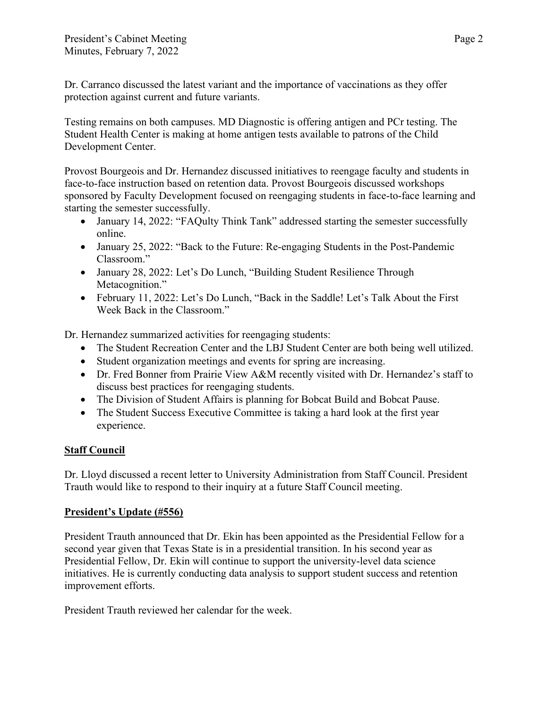Dr. Carranco discussed the latest variant and the importance of vaccinations as they offer protection against current and future variants.

Testing remains on both campuses. MD Diagnostic is offering antigen and PCr testing. The Student Health Center is making at home antigen tests available to patrons of the Child Development Center.

Provost Bourgeois and Dr. Hernandez discussed initiatives to reengage faculty and students in face-to-face instruction based on retention data. Provost Bourgeois discussed workshops sponsored by Faculty Development focused on reengaging students in face-to-face learning and starting the semester successfully.

- January 14, 2022: "FAQulty Think Tank" addressed starting the semester successfully online.
- January 25, 2022: "Back to the Future: Re-engaging Students in the Post-Pandemic Classroom."
- January 28, 2022: Let's Do Lunch, "Building Student Resilience Through Metacognition."
- February 11, 2022: Let's Do Lunch, "Back in the Saddle! Let's Talk About the First Week Back in the Classroom."

Dr. Hernandez summarized activities for reengaging students:

- The Student Recreation Center and the LBJ Student Center are both being well utilized.
- Student organization meetings and events for spring are increasing.
- Dr. Fred Bonner from Prairie View A&M recently visited with Dr. Hernandez's staff to discuss best practices for reengaging students.
- The Division of Student Affairs is planning for Bobcat Build and Bobcat Pause.
- The Student Success Executive Committee is taking a hard look at the first year experience.

## **Staff Council**

Dr. Lloyd discussed a recent letter to University Administration from Staff Council. President Trauth would like to respond to their inquiry at a future Staff Council meeting.

## **President's Update (#556)**

President Trauth announced that Dr. Ekin has been appointed as the Presidential Fellow for a second year given that Texas State is in a presidential transition. In his second year as Presidential Fellow, Dr. Ekin will continue to support the university-level data science initiatives. He is currently conducting data analysis to support student success and retention improvement efforts.

President Trauth reviewed her calendar for the week.